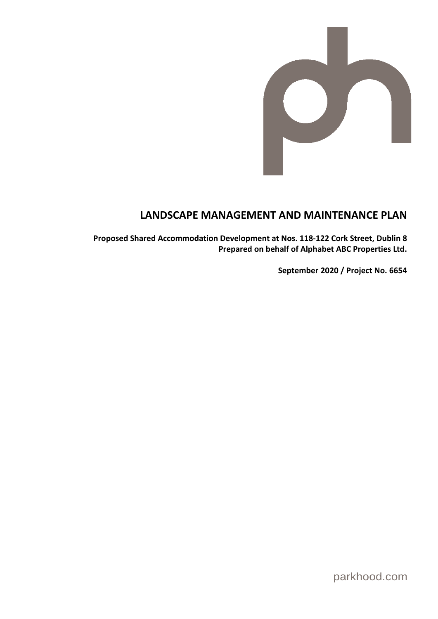

# **LANDSCAPE MANAGEMENT AND MAINTENANCE PLAN**

**Proposed Shared Accommodation Development at Nos. 118-122 Cork Street, Dublin 8 Prepared on behalf of Alphabet ABC Properties Ltd.** 

**September 2020 / Project No. 6654**

parkhood.com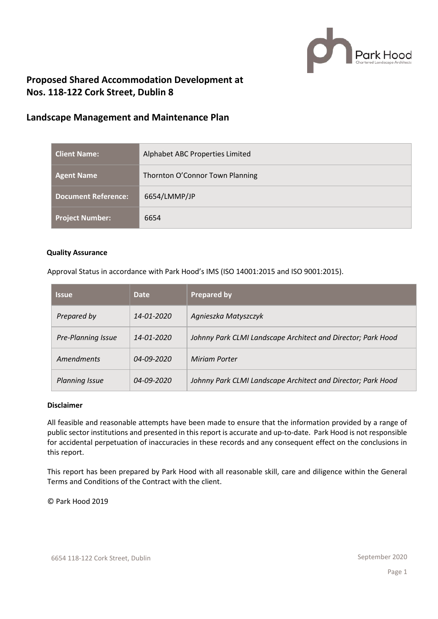

## **Proposed Shared Accommodation Development at Nos. 118-122 Cork Street, Dublin 8**

## **Landscape Management and Maintenance Plan**

| <b>Client Name:</b>        | Alphabet ABC Properties Limited |
|----------------------------|---------------------------------|
| <b>Agent Name</b>          | Thornton O'Connor Town Planning |
| <b>Document Reference:</b> | 6654/LMMP/JP                    |
| <b>Project Number:</b>     | 6654                            |

## **Quality Assurance**

Approval Status in accordance with Park Hood's IMS (ISO 14001:2015 and ISO 9001:2015).

| <b>Issue</b>          | <b>Date</b>      | <b>Prepared by</b>                                           |
|-----------------------|------------------|--------------------------------------------------------------|
| Prepared by           | 14-01-2020       | Agnieszka Matyszczyk                                         |
| Pre-Planning Issue    | 14-01-2020       | Johnny Park CLMI Landscape Architect and Director; Park Hood |
| Amendments            | $04 - 09 - 2020$ | <b>Miriam Porter</b>                                         |
| <b>Planning Issue</b> | 04-09-2020       | Johnny Park CLMI Landscape Architect and Director; Park Hood |

## **Disclaimer**

All feasible and reasonable attempts have been made to ensure that the information provided by a range of public sector institutions and presented in this report is accurate and up-to-date. Park Hood is not responsible for accidental perpetuation of inaccuracies in these records and any consequent effect on the conclusions in this report.

This report has been prepared by Park Hood with all reasonable skill, care and diligence within the General Terms and Conditions of the Contract with the client.

© Park Hood 2019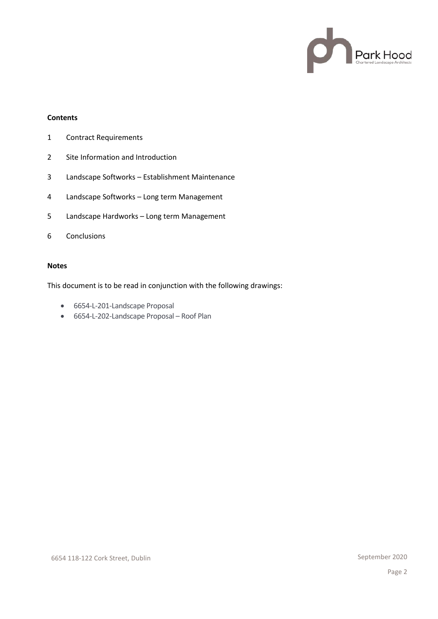

## **Contents**

- 1 Contract Requirements
- 2 Site Information and Introduction
- 3 Landscape Softworks Establishment Maintenance
- 4 Landscape Softworks Long term Management
- 5 Landscape Hardworks Long term Management
- 6 Conclusions

#### **Notes**

This document is to be read in conjunction with the following drawings:

- 6654-L-201-Landscape Proposal
- 6654-L-202-Landscape Proposal Roof Plan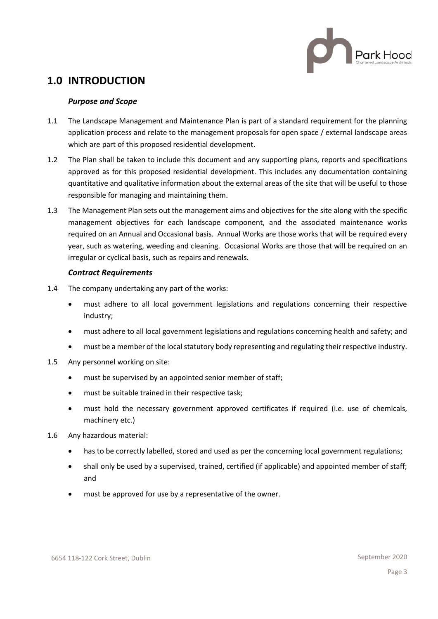

# **1.0 INTRODUCTION**

## *Purpose and Scope*

- 1.1 The Landscape Management and Maintenance Plan is part of a standard requirement for the planning application process and relate to the management proposals for open space / external landscape areas which are part of this proposed residential development.
- 1.2 The Plan shall be taken to include this document and any supporting plans, reports and specifications approved as for this proposed residential development. This includes any documentation containing quantitative and qualitative information about the external areas of the site that will be useful to those responsible for managing and maintaining them.
- 1.3 The Management Plan sets out the management aims and objectives for the site along with the specific management objectives for each landscape component, and the associated maintenance works required on an Annual and Occasional basis. Annual Works are those works that will be required every year, such as watering, weeding and cleaning. Occasional Works are those that will be required on an irregular or cyclical basis, such as repairs and renewals.

## *Contract Requirements*

- 1.4 The company undertaking any part of the works:
	- must adhere to all local government legislations and regulations concerning their respective industry;
	- must adhere to all local government legislations and regulations concerning health and safety; and
	- must be a member of the local statutory body representing and regulating their respective industry.
- 1.5 Any personnel working on site:
	- must be supervised by an appointed senior member of staff;
	- must be suitable trained in their respective task;
	- must hold the necessary government approved certificates if required (i.e. use of chemicals, machinery etc.)
- 1.6 Any hazardous material:
	- has to be correctly labelled, stored and used as per the concerning local government regulations;
	- shall only be used by a supervised, trained, certified (if applicable) and appointed member of staff; and
	- must be approved for use by a representative of the owner.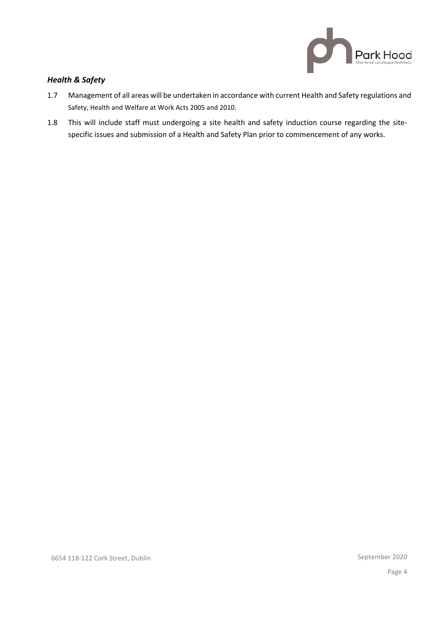

## *Health & Safety*

- 1.7 Management of all areas will be undertaken in accordance with current Health and Safety regulations and [Safety, Health and Welfare at Work Acts 2005 and 2010.](http://www.irishstatutebook.ie/2005/en/act/pub/0010/index.html)
- 1.8 This will include staff must undergoing a site health and safety induction course regarding the sitespecific issues and submission of a Health and Safety Plan prior to commencement of any works.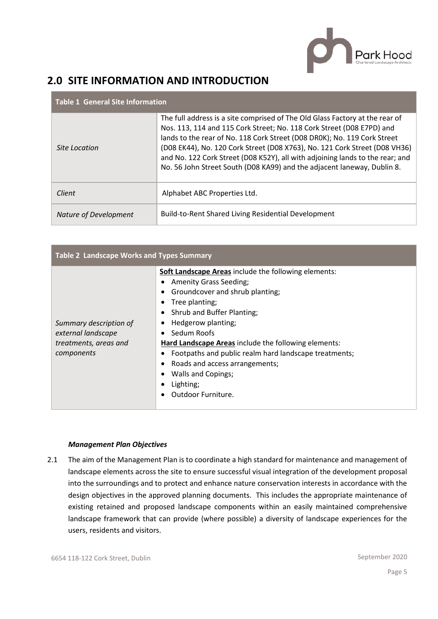

# **2.0 SITE INFORMATION AND INTRODUCTION**

| <b>Table 1 General Site Information</b> |                                                                                                                                                                                                                                                                                                                                                                                                                                                                             |  |  |  |  |
|-----------------------------------------|-----------------------------------------------------------------------------------------------------------------------------------------------------------------------------------------------------------------------------------------------------------------------------------------------------------------------------------------------------------------------------------------------------------------------------------------------------------------------------|--|--|--|--|
| Site Location                           | The full address is a site comprised of The Old Glass Factory at the rear of<br>Nos. 113, 114 and 115 Cork Street; No. 118 Cork Street (D08 E7PD) and<br>lands to the rear of No. 118 Cork Street (D08 DR0K); No. 119 Cork Street<br>(D08 EK44), No. 120 Cork Street (D08 X763), No. 121 Cork Street (D08 VH36)<br>and No. 122 Cork Street (D08 K52Y), all with adjoining lands to the rear; and<br>No. 56 John Street South (D08 KA99) and the adjacent laneway, Dublin 8. |  |  |  |  |
| Client                                  | Alphabet ABC Properties Ltd.                                                                                                                                                                                                                                                                                                                                                                                                                                                |  |  |  |  |
| Nature of Development                   | Build-to-Rent Shared Living Residential Development                                                                                                                                                                                                                                                                                                                                                                                                                         |  |  |  |  |

| Table 2 Landscape Works and Types Summary                                                                                                                                                                                                                                                                                                                                                                                                                                                                               |  |  |  |  |  |
|-------------------------------------------------------------------------------------------------------------------------------------------------------------------------------------------------------------------------------------------------------------------------------------------------------------------------------------------------------------------------------------------------------------------------------------------------------------------------------------------------------------------------|--|--|--|--|--|
| <b>Soft Landscape Areas include the following elements:</b><br><b>Amenity Grass Seeding;</b><br>Groundcover and shrub planting;<br>Tree planting;<br>Shrub and Buffer Planting;<br>Hedgerow planting;<br>Summary description of<br>external landscape<br>Sedum Roofs<br>Hard Landscape Areas include the following elements:<br>treatments, areas and<br>components<br>Footpaths and public realm hard landscape treatments;<br>Roads and access arrangements;<br>Walls and Copings;<br>Lighting;<br>Outdoor Furniture. |  |  |  |  |  |

## *Management Plan Objectives*

2.1 The aim of the Management Plan is to coordinate a high standard for maintenance and management of landscape elements across the site to ensure successful visual integration of the development proposal into the surroundings and to protect and enhance nature conservation interests in accordance with the design objectives in the approved planning documents. This includes the appropriate maintenance of existing retained and proposed landscape components within an easily maintained comprehensive landscape framework that can provide (where possible) a diversity of landscape experiences for the users, residents and visitors.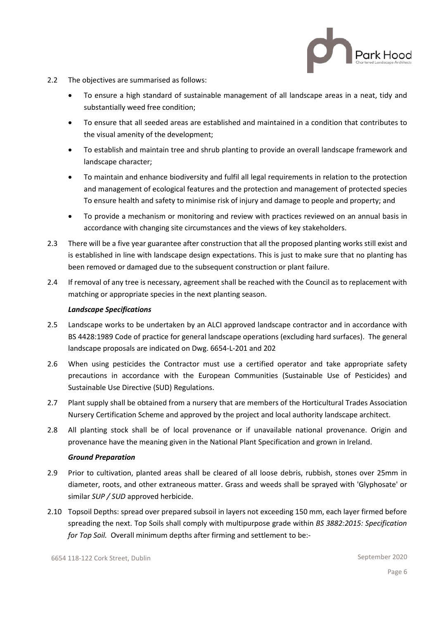**Park Hood** 

- 2.2 The objectives are summarised as follows:
	- To ensure a high standard of sustainable management of all landscape areas in a neat, tidy and substantially weed free condition;
	- To ensure that all seeded areas are established and maintained in a condition that contributes to the visual amenity of the development;
	- To establish and maintain tree and shrub planting to provide an overall landscape framework and landscape character;
	- To maintain and enhance biodiversity and fulfil all legal requirements in relation to the protection and management of ecological features and the protection and management of protected species To ensure health and safety to minimise risk of injury and damage to people and property; and
	- To provide a mechanism or monitoring and review with practices reviewed on an annual basis in accordance with changing site circumstances and the views of key stakeholders.
- 2.3 There will be a five year guarantee after construction that all the proposed planting works still exist and is established in line with landscape design expectations. This is just to make sure that no planting has been removed or damaged due to the subsequent construction or plant failure.
- 2.4 If removal of any tree is necessary, agreement shall be reached with the Council as to replacement with matching or appropriate species in the next planting season.

#### *Landscape Specifications*

- 2.5 Landscape works to be undertaken by an ALCI approved landscape contractor and in accordance with BS 4428:1989 Code of practice for general landscape operations (excluding hard surfaces). The general landscape proposals are indicated on Dwg. 6654-L-201 and 202
- 2.6 When using pesticides the Contractor must use a certified operator and take appropriate safety precautions in accordance with the European Communities (Sustainable Use of Pesticides) and Sustainable Use Directive (SUD) Regulations.
- 2.7 Plant supply shall be obtained from a nursery that are members of the Horticultural Trades Association Nursery Certification Scheme and approved by the project and local authority landscape architect.
- 2.8 All planting stock shall be of local provenance or if unavailable national provenance. Origin and provenance have the meaning given in the National Plant Specification and grown in Ireland.

## *Ground Preparation*

- 2.9 Prior to cultivation, planted areas shall be cleared of all loose debris, rubbish, stones over 25mm in diameter, roots, and other extraneous matter. Grass and weeds shall be sprayed with 'Glyphosate' or similar *SUP / SUD* approved herbicide.
- 2.10 Topsoil Depths: spread over prepared subsoil in layers not exceeding 150 mm, each layer firmed before spreading the next. Top Soils shall comply with multipurpose grade within *BS 3882:2015: Specification for Top Soil.* Overall minimum depths after firming and settlement to be:-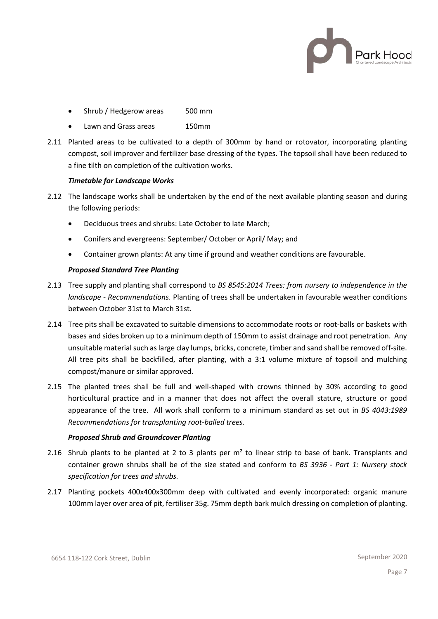

- Shrub / Hedgerow areas 500 mm
- Lawn and Grass areas 150mm
- 2.11 Planted areas to be cultivated to a depth of 300mm by hand or rotovator, incorporating planting compost, soil improver and fertilizer base dressing of the types. The topsoil shall have been reduced to a fine tilth on completion of the cultivation works.

#### *Timetable for Landscape Works*

- 2.12 The landscape works shall be undertaken by the end of the next available planting season and during the following periods:
	- Deciduous trees and shrubs: Late October to late March;
	- Conifers and evergreens: September/ October or April/ May; and
	- Container grown plants: At any time if ground and weather conditions are favourable.

## *Proposed Standard Tree Planting*

- 2.13 Tree supply and planting shall correspond to *BS 8545:2014 Trees: from nursery to independence in the landscape - Recommendations*. Planting of trees shall be undertaken in favourable weather conditions between October 31st to March 31st.
- 2.14 Tree pits shall be excavated to suitable dimensions to accommodate roots or root-balls or baskets with bases and sides broken up to a minimum depth of 150mm to assist drainage and root penetration. Any unsuitable material such as large clay lumps, bricks, concrete, timber and sand shall be removed off-site. All tree pits shall be backfilled, after planting, with a 3:1 volume mixture of topsoil and mulching compost/manure or similar approved.
- 2.15 The planted trees shall be full and well-shaped with crowns thinned by 30% according to good horticultural practice and in a manner that does not affect the overall stature, structure or good appearance of the tree. All work shall conform to a minimum standard as set out in *BS 4043:1989 Recommendations for transplanting root-balled trees.*

#### *Proposed Shrub and Groundcover Planting*

- 2.16 Shrub plants to be planted at 2 to 3 plants per  $m<sup>2</sup>$  to linear strip to base of bank. Transplants and container grown shrubs shall be of the size stated and conform to *BS 3936 - Part 1: Nursery stock specification for trees and shrubs.*
- 2.17 Planting pockets 400x400x300mm deep with cultivated and evenly incorporated: organic manure 100mm layer over area of pit, fertiliser 35g. 75mm depth bark mulch dressing on completion of planting.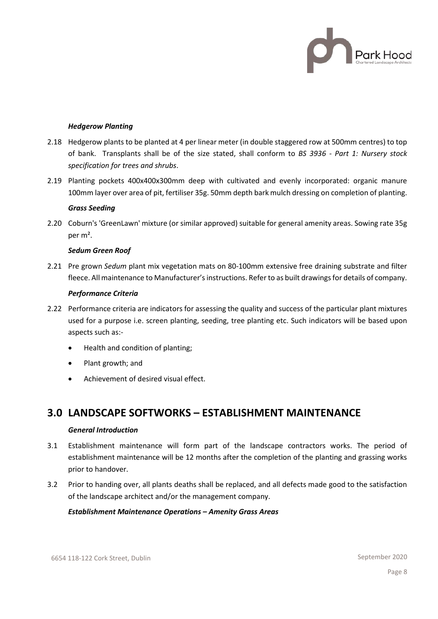

#### *Hedgerow Planting*

- 2.18 Hedgerow plants to be planted at 4 per linear meter (in double staggered row at 500mm centres) to top of bank. Transplants shall be of the size stated, shall conform to *BS 3936 - Part 1: Nursery stock specification for trees and shrubs*.
- 2.19 Planting pockets 400x400x300mm deep with cultivated and evenly incorporated: organic manure 100mm layer over area of pit, fertiliser 35g. 50mm depth bark mulch dressing on completion of planting.

#### *Grass Seeding*

2.20 Coburn's 'GreenLawn' mixture (or similar approved) suitable for general amenity areas. Sowing rate 35g per m².

#### *Sedum Green Roof*

2.21 Pre grown *Sedum* plant mix vegetation mats on 80-100mm extensive free draining substrate and filter fleece. All maintenance to Manufacturer's instructions. Refer to as built drawings for details of company.

#### *Performance Criteria*

- 2.22 Performance criteria are indicators for assessing the quality and success of the particular plant mixtures used for a purpose i.e. screen planting, seeding, tree planting etc. Such indicators will be based upon aspects such as:-
	- Health and condition of planting;
	- Plant growth; and
	- Achievement of desired visual effect.

## **3.0 LANDSCAPE SOFTWORKS – ESTABLISHMENT MAINTENANCE**

#### *General Introduction*

- 3.1 Establishment maintenance will form part of the landscape contractors works. The period of establishment maintenance will be 12 months after the completion of the planting and grassing works prior to handover.
- 3.2 Prior to handing over, all plants deaths shall be replaced, and all defects made good to the satisfaction of the landscape architect and/or the management company.

#### *Establishment Maintenance Operations – Amenity Grass Areas*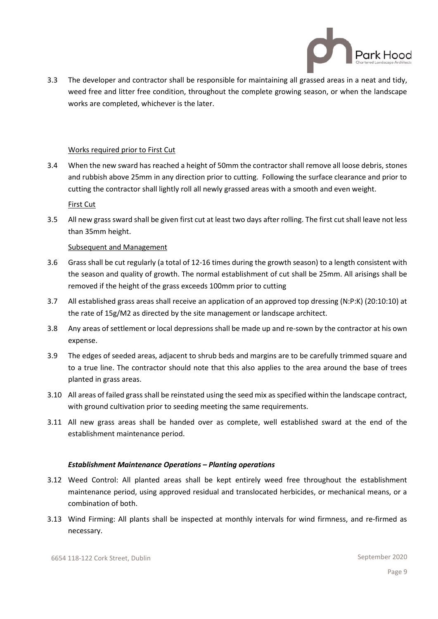

3.3 The developer and contractor shall be responsible for maintaining all grassed areas in a neat and tidy, weed free and litter free condition, throughout the complete growing season, or when the landscape works are completed, whichever is the later.

#### Works required prior to First Cut

3.4 When the new sward has reached a height of 50mm the contractor shall remove all loose debris, stones and rubbish above 25mm in any direction prior to cutting. Following the surface clearance and prior to cutting the contractor shall lightly roll all newly grassed areas with a smooth and even weight.

First Cut

3.5 All new grass sward shall be given first cut at least two days after rolling. The first cut shall leave not less than 35mm height.

#### Subsequent and Management

- 3.6 Grass shall be cut regularly (a total of 12-16 times during the growth season) to a length consistent with the season and quality of growth. The normal establishment of cut shall be 25mm. All arisings shall be removed if the height of the grass exceeds 100mm prior to cutting
- 3.7 All established grass areas shall receive an application of an approved top dressing (N:P:K) (20:10:10) at the rate of 15g/M2 as directed by the site management or landscape architect.
- 3.8 Any areas of settlement or local depressions shall be made up and re-sown by the contractor at his own expense.
- 3.9 The edges of seeded areas, adjacent to shrub beds and margins are to be carefully trimmed square and to a true line. The contractor should note that this also applies to the area around the base of trees planted in grass areas.
- 3.10 All areas of failed grass shall be reinstated using the seed mix as specified within the landscape contract, with ground cultivation prior to seeding meeting the same requirements.
- 3.11 All new grass areas shall be handed over as complete, well established sward at the end of the establishment maintenance period.

#### *Establishment Maintenance Operations – Planting operations*

- 3.12 Weed Control: All planted areas shall be kept entirely weed free throughout the establishment maintenance period, using approved residual and translocated herbicides, or mechanical means, or a combination of both.
- 3.13 Wind Firming: All plants shall be inspected at monthly intervals for wind firmness, and re-firmed as necessary.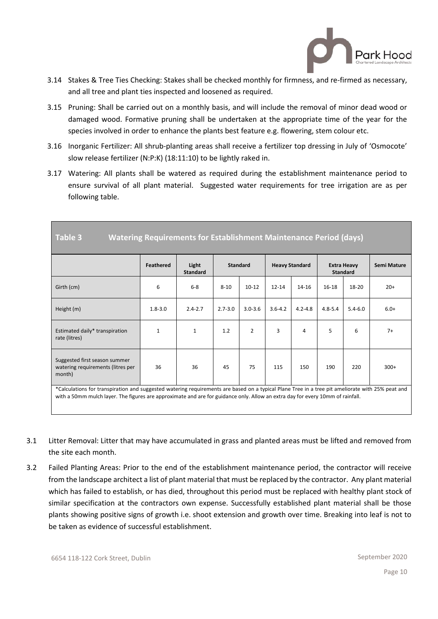

- 3.14 Stakes & Tree Ties Checking: Stakes shall be checked monthly for firmness, and re-firmed as necessary, and all tree and plant ties inspected and loosened as required.
- 3.15 Pruning: Shall be carried out on a monthly basis, and will include the removal of minor dead wood or damaged wood. Formative pruning shall be undertaken at the appropriate time of the year for the species involved in order to enhance the plants best feature e.g. flowering, stem colour etc.
- 3.16 Inorganic Fertilizer: All shrub-planting areas shall receive a fertilizer top dressing in July of 'Osmocote' slow release fertilizer (N:P:K) (18:11:10) to be lightly raked in.
- 3.17 Watering: All plants shall be watered as required during the establishment maintenance period to ensure survival of all plant material. Suggested water requirements for tree irrigation are as per following table.

| Table 3<br><b>Watering Requirements for Establishment Maintenance Period (days)</b>                                                                                                                                                                                                |                  |                          |             |                 |             |                       |             |                                       |             |
|------------------------------------------------------------------------------------------------------------------------------------------------------------------------------------------------------------------------------------------------------------------------------------|------------------|--------------------------|-------------|-----------------|-------------|-----------------------|-------------|---------------------------------------|-------------|
|                                                                                                                                                                                                                                                                                    | <b>Feathered</b> | Light<br><b>Standard</b> |             | <b>Standard</b> |             | <b>Heavy Standard</b> |             | <b>Extra Heavy</b><br><b>Standard</b> | Semi Mature |
| Girth (cm)                                                                                                                                                                                                                                                                         | 6                | $6-8$                    | $8 - 10$    | $10 - 12$       | $12 - 14$   | 14-16                 | $16 - 18$   | 18-20                                 | $20+$       |
| Height (m)                                                                                                                                                                                                                                                                         | $1.8 - 3.0$      | $2.4 - 2.7$              | $2.7 - 3.0$ | $3.0 - 3.6$     | $3.6 - 4.2$ | $4.2 - 4.8$           | $4.8 - 5.4$ | $5.4 - 6.0$                           | $6.0+$      |
| Estimated daily* transpiration<br>rate (litres)                                                                                                                                                                                                                                    | 1                | $\mathbf{1}$             | 1.2         | $\overline{2}$  | 3           | 4                     | 5           | 6                                     | $7+$        |
| Suggested first season summer<br>watering requirements (litres per<br>month)                                                                                                                                                                                                       | 36               | 36                       | 45          | 75              | 115         | 150                   | 190         | 220                                   | $300+$      |
| *Calculations for transpiration and suggested watering requirements are based on a typical Plane Tree in a tree pit ameliorate with 25% peat and<br>with a 50mm mulch layer. The figures are approximate and are for guidance only. Allow an extra day for every 10mm of rainfall. |                  |                          |             |                 |             |                       |             |                                       |             |

3.1 Litter Removal: Litter that may have accumulated in grass and planted areas must be lifted and removed from the site each month.

3.2 Failed Planting Areas: Prior to the end of the establishment maintenance period, the contractor will receive from the landscape architect a list of plant material that must be replaced by the contractor. Any plant material which has failed to establish, or has died, throughout this period must be replaced with healthy plant stock of similar specification at the contractors own expense. Successfully established plant material shall be those plants showing positive signs of growth i.e. shoot extension and growth over time. Breaking into leaf is not to be taken as evidence of successful establishment.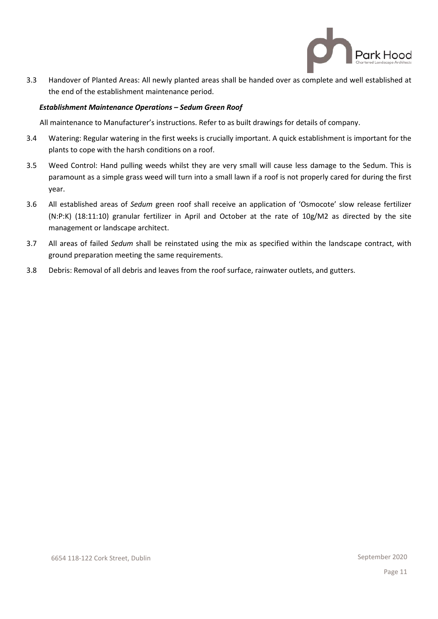

3.3 Handover of Planted Areas: All newly planted areas shall be handed over as complete and well established at the end of the establishment maintenance period.

## *Establishment Maintenance Operations – Sedum Green Roof*

All maintenance to Manufacturer's instructions. Refer to as built drawings for details of company.

- 3.4 Watering: Regular watering in the first weeks is crucially important. A quick establishment is important for the plants to cope with the harsh conditions on a roof.
- 3.5 Weed Control: Hand pulling weeds whilst they are very small will cause less damage to the Sedum. This is paramount as a simple grass weed will turn into a small lawn if a roof is not properly cared for during the first year.
- 3.6 All established areas of *Sedum* green roof shall receive an application of 'Osmocote' slow release fertilizer (N:P:K) (18:11:10) granular fertilizer in April and October at the rate of 10g/M2 as directed by the site management or landscape architect.
- 3.7 All areas of failed *Sedum* shall be reinstated using the mix as specified within the landscape contract, with ground preparation meeting the same requirements.
- 3.8 Debris: Removal of all debris and leaves from the roof surface, rainwater outlets, and gutters.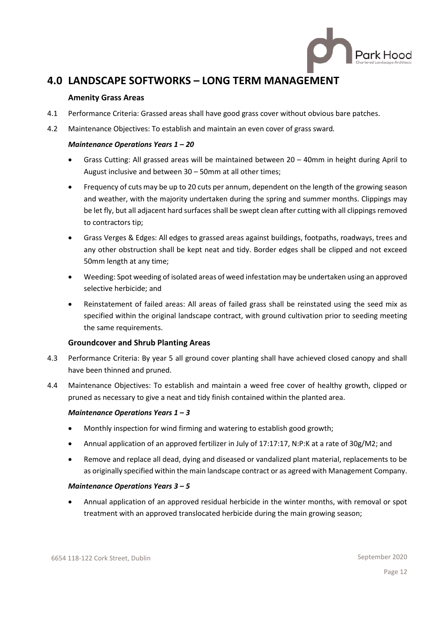

# **4.0 LANDSCAPE SOFTWORKS – LONG TERM MANAGEMENT**

## **Amenity Grass Areas**

- 4.1 Performance Criteria: Grassed areas shall have good grass cover without obvious bare patches.
- 4.2 Maintenance Objectives: To establish and maintain an even cover of grass sward*.*

## *Maintenance Operations Years 1 – 20*

- Grass Cutting: All grassed areas will be maintained between 20 40mm in height during April to August inclusive and between 30 – 50mm at all other times;
- Frequency of cuts may be up to 20 cuts per annum, dependent on the length of the growing season and weather, with the majority undertaken during the spring and summer months. Clippings may be let fly, but all adjacent hard surfaces shall be swept clean after cutting with all clippings removed to contractors tip;
- Grass Verges & Edges: All edges to grassed areas against buildings, footpaths, roadways, trees and any other obstruction shall be kept neat and tidy. Border edges shall be clipped and not exceed 50mm length at any time;
- Weeding: Spot weeding of isolated areas of weed infestation may be undertaken using an approved selective herbicide; and
- Reinstatement of failed areas: All areas of failed grass shall be reinstated using the seed mix as specified within the original landscape contract, with ground cultivation prior to seeding meeting the same requirements.

## **Groundcover and Shrub Planting Areas**

- 4.3 Performance Criteria: By year 5 all ground cover planting shall have achieved closed canopy and shall have been thinned and pruned.
- 4.4 Maintenance Objectives: To establish and maintain a weed free cover of healthy growth, clipped or pruned as necessary to give a neat and tidy finish contained within the planted area.

## *Maintenance Operations Years 1 – 3*

- Monthly inspection for wind firming and watering to establish good growth;
- Annual application of an approved fertilizer in July of 17:17:17, N:P:K at a rate of 30g/M2; and
- Remove and replace all dead, dying and diseased or vandalized plant material, replacements to be as originally specified within the main landscape contract or as agreed with Management Company.

## *Maintenance Operations Years 3 – 5*

• Annual application of an approved residual herbicide in the winter months, with removal or spot treatment with an approved translocated herbicide during the main growing season;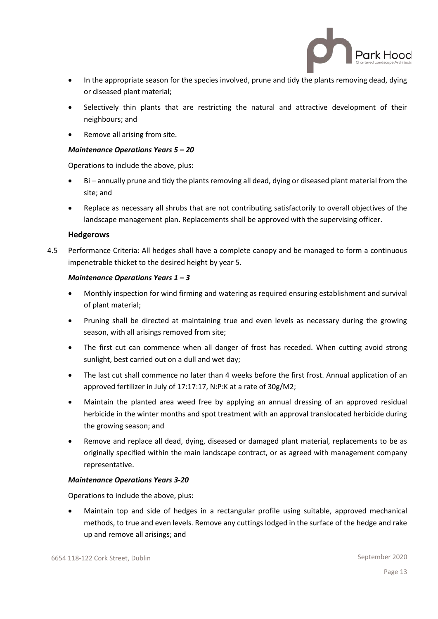

- In the appropriate season for the species involved, prune and tidy the plants removing dead, dying or diseased plant material;
- Selectively thin plants that are restricting the natural and attractive development of their neighbours; and
- Remove all arising from site.

## *Maintenance Operations Years 5 – 20*

Operations to include the above, plus:

- Bi annually prune and tidy the plants removing all dead, dying or diseased plant material from the site; and
- Replace as necessary all shrubs that are not contributing satisfactorily to overall objectives of the landscape management plan. Replacements shall be approved with the supervising officer.

## **Hedgerows**

4.5 Performance Criteria: All hedges shall have a complete canopy and be managed to form a continuous impenetrable thicket to the desired height by year 5.

## *Maintenance Operations Years 1 – 3*

- Monthly inspection for wind firming and watering as required ensuring establishment and survival of plant material;
- Pruning shall be directed at maintaining true and even levels as necessary during the growing season, with all arisings removed from site;
- The first cut can commence when all danger of frost has receded. When cutting avoid strong sunlight, best carried out on a dull and wet day;
- The last cut shall commence no later than 4 weeks before the first frost. Annual application of an approved fertilizer in July of 17:17:17, N:P:K at a rate of 30g/M2;
- Maintain the planted area weed free by applying an annual dressing of an approved residual herbicide in the winter months and spot treatment with an approval translocated herbicide during the growing season; and
- Remove and replace all dead, dying, diseased or damaged plant material, replacements to be as originally specified within the main landscape contract, or as agreed with management company representative.

## *Maintenance Operations Years 3-20*

Operations to include the above, plus:

• Maintain top and side of hedges in a rectangular profile using suitable, approved mechanical methods, to true and even levels. Remove any cuttings lodged in the surface of the hedge and rake up and remove all arisings; and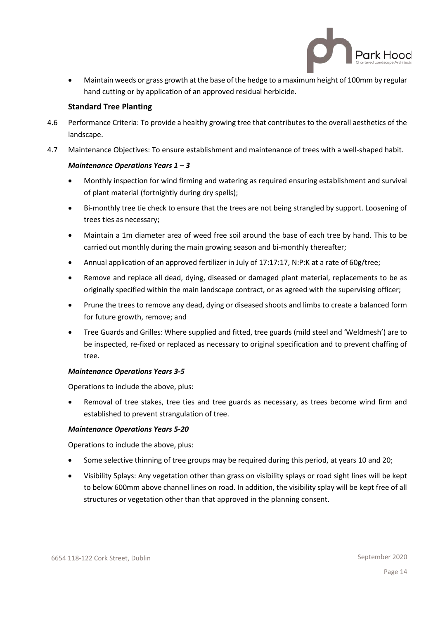

• Maintain weeds or grass growth at the base of the hedge to a maximum height of 100mm by regular hand cutting or by application of an approved residual herbicide.

## **Standard Tree Planting**

- 4.6 Performance Criteria: To provide a healthy growing tree that contributes to the overall aesthetics of the landscape.
- 4.7 Maintenance Objectives: To ensure establishment and maintenance of trees with a well-shaped habit*.*

## *Maintenance Operations Years 1 – 3*

- Monthly inspection for wind firming and watering as required ensuring establishment and survival of plant material (fortnightly during dry spells);
- Bi-monthly tree tie check to ensure that the trees are not being strangled by support. Loosening of trees ties as necessary;
- Maintain a 1m diameter area of weed free soil around the base of each tree by hand. This to be carried out monthly during the main growing season and bi-monthly thereafter;
- Annual application of an approved fertilizer in July of 17:17:17, N:P:K at a rate of 60g/tree;
- Remove and replace all dead, dying, diseased or damaged plant material, replacements to be as originally specified within the main landscape contract, or as agreed with the supervising officer;
- Prune the trees to remove any dead, dying or diseased shoots and limbs to create a balanced form for future growth, remove; and
- Tree Guards and Grilles: Where supplied and fitted, tree guards (mild steel and 'Weldmesh') are to be inspected, re-fixed or replaced as necessary to original specification and to prevent chaffing of tree.

## *Maintenance Operations Years 3-5*

Operations to include the above, plus:

• Removal of tree stakes, tree ties and tree guards as necessary, as trees become wind firm and established to prevent strangulation of tree.

## *Maintenance Operations Years 5-20*

Operations to include the above, plus:

- Some selective thinning of tree groups may be required during this period, at years 10 and 20;
- Visibility Splays: Any vegetation other than grass on visibility splays or road sight lines will be kept to below 600mm above channel lines on road. In addition, the visibility splay will be kept free of all structures or vegetation other than that approved in the planning consent.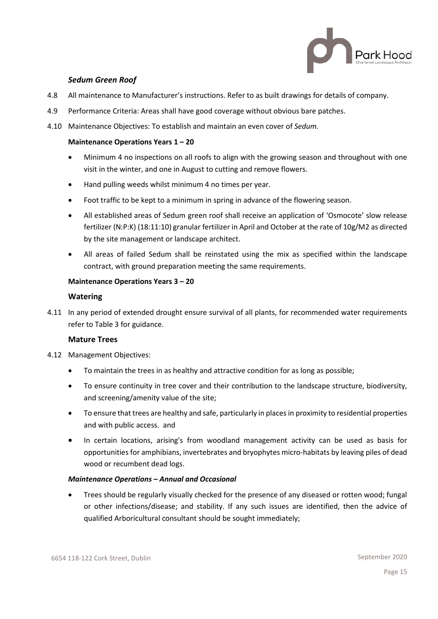

## *Sedum Green Roof*

- 4.8 All maintenance to Manufacturer's instructions. Refer to as built drawings for details of company.
- 4.9 Performance Criteria: Areas shall have good coverage without obvious bare patches.
- 4.10 Maintenance Objectives: To establish and maintain an even cover of *Sedum.*

## **Maintenance Operations Years 1 – 20**

- Minimum 4 no inspections on all roofs to align with the growing season and throughout with one visit in the winter, and one in August to cutting and remove flowers.
- Hand pulling weeds whilst minimum 4 no times per year.
- Foot traffic to be kept to a minimum in spring in advance of the flowering season.
- All established areas of Sedum green roof shall receive an application of 'Osmocote' slow release fertilizer (N:P:K) (18:11:10) granular fertilizer in April and October at the rate of 10g/M2 as directed by the site management or landscape architect.
- All areas of failed Sedum shall be reinstated using the mix as specified within the landscape contract, with ground preparation meeting the same requirements.

## **Maintenance Operations Years 3 – 20**

## **Watering**

4.11 In any period of extended drought ensure survival of all plants, for recommended water requirements refer to Table 3 for guidance.

## **Mature Trees**

- 4.12 Management Objectives:
	- To maintain the trees in as healthy and attractive condition for as long as possible;
	- To ensure continuity in tree cover and their contribution to the landscape structure, biodiversity, and screening/amenity value of the site;
	- To ensure that trees are healthy and safe, particularly in places in proximity to residential properties and with public access. and
	- In certain locations, arising's from woodland management activity can be used as basis for opportunities for amphibians, invertebrates and bryophytes micro-habitats by leaving piles of dead wood or recumbent dead logs.

## *Maintenance Operations – Annual and Occasional*

• Trees should be regularly visually checked for the presence of any diseased or rotten wood; fungal or other infections/disease; and stability. If any such issues are identified, then the advice of qualified Arboricultural consultant should be sought immediately;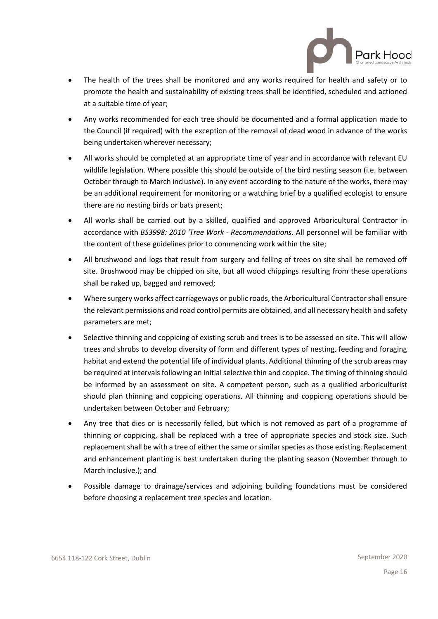

- The health of the trees shall be monitored and any works required for health and safety or to promote the health and sustainability of existing trees shall be identified, scheduled and actioned at a suitable time of year;
- Any works recommended for each tree should be documented and a formal application made to the Council (if required) with the exception of the removal of dead wood in advance of the works being undertaken wherever necessary;
- All works should be completed at an appropriate time of year and in accordance with relevant EU wildlife legislation. Where possible this should be outside of the bird nesting season (i.e. between October through to March inclusive). In any event according to the nature of the works, there may be an additional requirement for monitoring or a watching brief by a qualified ecologist to ensure there are no nesting birds or bats present;
- All works shall be carried out by a skilled, qualified and approved Arboricultural Contractor in accordance with *BS3998: 2010 'Tree Work - Recommendations*. All personnel will be familiar with the content of these guidelines prior to commencing work within the site;
- All brushwood and logs that result from surgery and felling of trees on site shall be removed off site. Brushwood may be chipped on site, but all wood chippings resulting from these operations shall be raked up, bagged and removed;
- Where surgery works affect carriageways or public roads, the Arboricultural Contractor shall ensure the relevant permissions and road control permits are obtained, and all necessary health and safety parameters are met;
- Selective thinning and coppicing of existing scrub and trees is to be assessed on site. This will allow trees and shrubs to develop diversity of form and different types of nesting, feeding and foraging habitat and extend the potential life of individual plants. Additional thinning of the scrub areas may be required at intervals following an initial selective thin and coppice. The timing of thinning should be informed by an assessment on site. A competent person, such as a qualified arboriculturist should plan thinning and coppicing operations. All thinning and coppicing operations should be undertaken between October and February;
- Any tree that dies or is necessarily felled, but which is not removed as part of a programme of thinning or coppicing, shall be replaced with a tree of appropriate species and stock size. Such replacement shall be with a tree of either the same or similar species as those existing. Replacement and enhancement planting is best undertaken during the planting season (November through to March inclusive.); and
- Possible damage to drainage/services and adjoining building foundations must be considered before choosing a replacement tree species and location.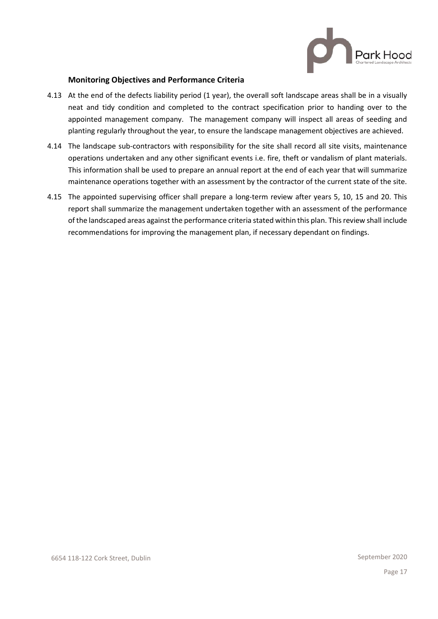

## **Monitoring Objectives and Performance Criteria**

- 4.13 At the end of the defects liability period (1 year), the overall soft landscape areas shall be in a visually neat and tidy condition and completed to the contract specification prior to handing over to the appointed management company. The management company will inspect all areas of seeding and planting regularly throughout the year, to ensure the landscape management objectives are achieved.
- 4.14 The landscape sub-contractors with responsibility for the site shall record all site visits, maintenance operations undertaken and any other significant events i.e. fire, theft or vandalism of plant materials. This information shall be used to prepare an annual report at the end of each year that will summarize maintenance operations together with an assessment by the contractor of the current state of the site.
- 4.15 The appointed supervising officer shall prepare a long-term review after years 5, 10, 15 and 20. This report shall summarize the management undertaken together with an assessment of the performance of the landscaped areas against the performance criteria stated within this plan. This review shall include recommendations for improving the management plan, if necessary dependant on findings.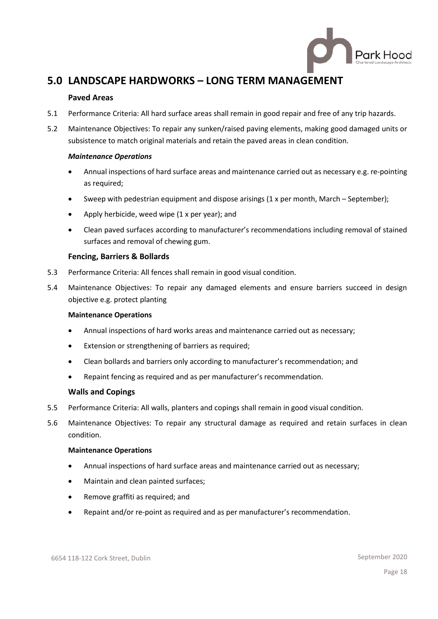

# **5.0 LANDSCAPE HARDWORKS – LONG TERM MANAGEMENT**

## **Paved Areas**

- 5.1 Performance Criteria: All hard surface areas shall remain in good repair and free of any trip hazards.
- 5.2 Maintenance Objectives: To repair any sunken/raised paving elements, making good damaged units or subsistence to match original materials and retain the paved areas in clean condition.

## *Maintenance Operations*

- Annual inspections of hard surface areas and maintenance carried out as necessary e.g. re-pointing as required;
- Sweep with pedestrian equipment and dispose arisings (1 x per month, March September);
- Apply herbicide, weed wipe (1 x per year); and
- Clean paved surfaces according to manufacturer's recommendations including removal of stained surfaces and removal of chewing gum.

## **Fencing, Barriers & Bollards**

- 5.3 Performance Criteria: All fences shall remain in good visual condition.
- 5.4 Maintenance Objectives: To repair any damaged elements and ensure barriers succeed in design objective e.g. protect planting

## **Maintenance Operations**

- Annual inspections of hard works areas and maintenance carried out as necessary;
- Extension or strengthening of barriers as required;
- Clean bollards and barriers only according to manufacturer's recommendation; and
- Repaint fencing as required and as per manufacturer's recommendation.

## **Walls and Copings**

- 5.5 Performance Criteria: All walls, planters and copings shall remain in good visual condition.
- 5.6 Maintenance Objectives: To repair any structural damage as required and retain surfaces in clean condition.

## **Maintenance Operations**

- Annual inspections of hard surface areas and maintenance carried out as necessary;
- Maintain and clean painted surfaces;
- Remove graffiti as required; and
- Repaint and/or re-point as required and as per manufacturer's recommendation.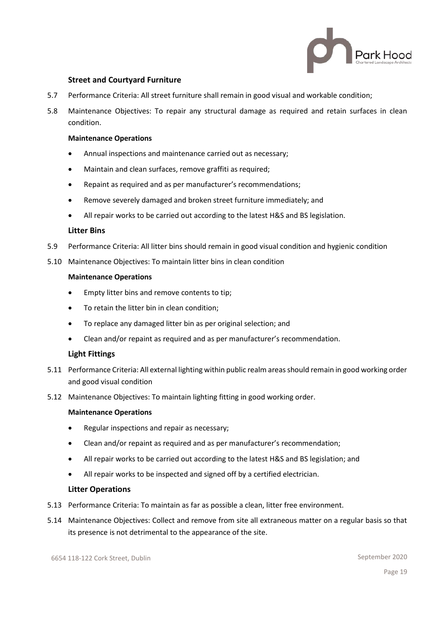

## **Street and Courtyard Furniture**

- 5.7 Performance Criteria: All street furniture shall remain in good visual and workable condition;
- 5.8 Maintenance Objectives: To repair any structural damage as required and retain surfaces in clean condition.

#### **Maintenance Operations**

- Annual inspections and maintenance carried out as necessary;
- Maintain and clean surfaces, remove graffiti as required;
- Repaint as required and as per manufacturer's recommendations;
- Remove severely damaged and broken street furniture immediately; and
- All repair works to be carried out according to the latest H&S and BS legislation.

#### **Litter Bins**

- 5.9 Performance Criteria: All litter bins should remain in good visual condition and hygienic condition
- 5.10 Maintenance Objectives: To maintain litter bins in clean condition

#### **Maintenance Operations**

- Empty litter bins and remove contents to tip;
- To retain the litter bin in clean condition;
- To replace any damaged litter bin as per original selection; and
- Clean and/or repaint as required and as per manufacturer's recommendation.

## **Light Fittings**

- 5.11 Performance Criteria: All external lighting within public realm areas should remain in good working order and good visual condition
- 5.12 Maintenance Objectives: To maintain lighting fitting in good working order.

#### **Maintenance Operations**

- Regular inspections and repair as necessary;
- Clean and/or repaint as required and as per manufacturer's recommendation;
- All repair works to be carried out according to the latest H&S and BS legislation; and
- All repair works to be inspected and signed off by a certified electrician.

#### **Litter Operations**

- 5.13 Performance Criteria: To maintain as far as possible a clean, litter free environment.
- 5.14 Maintenance Objectives: Collect and remove from site all extraneous matter on a regular basis so that its presence is not detrimental to the appearance of the site.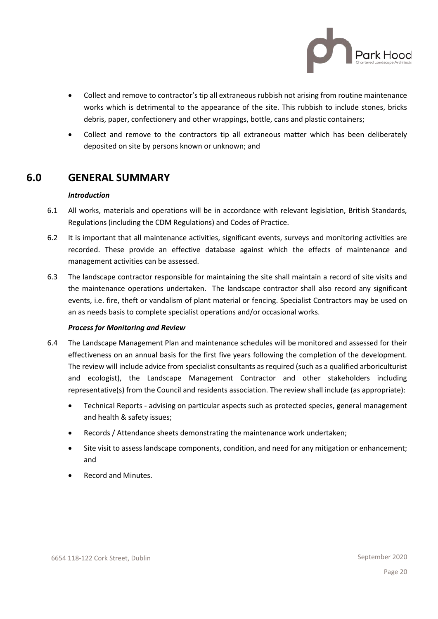

- Collect and remove to contractor's tip all extraneous rubbish not arising from routine maintenance works which is detrimental to the appearance of the site. This rubbish to include stones, bricks debris, paper, confectionery and other wrappings, bottle, cans and plastic containers;
- Collect and remove to the contractors tip all extraneous matter which has been deliberately deposited on site by persons known or unknown; and

## **6.0 GENERAL SUMMARY**

## *Introduction*

- 6.1 All works, materials and operations will be in accordance with relevant legislation, British Standards, Regulations (including the CDM Regulations) and Codes of Practice.
- 6.2 It is important that all maintenance activities, significant events, surveys and monitoring activities are recorded. These provide an effective database against which the effects of maintenance and management activities can be assessed.
- 6.3 The landscape contractor responsible for maintaining the site shall maintain a record of site visits and the maintenance operations undertaken. The landscape contractor shall also record any significant events, i.e. fire, theft or vandalism of plant material or fencing. Specialist Contractors may be used on an as needs basis to complete specialist operations and/or occasional works.

## *Process for Monitoring and Review*

- 6.4 The Landscape Management Plan and maintenance schedules will be monitored and assessed for their effectiveness on an annual basis for the first five years following the completion of the development. The review will include advice from specialist consultants as required (such as a qualified arboriculturist and ecologist), the Landscape Management Contractor and other stakeholders including representative(s) from the Council and residents association. The review shall include (as appropriate):
	- Technical Reports advising on particular aspects such as protected species, general management and health & safety issues;
	- Records / Attendance sheets demonstrating the maintenance work undertaken;
	- Site visit to assess landscape components, condition, and need for any mitigation or enhancement; and
	- Record and Minutes.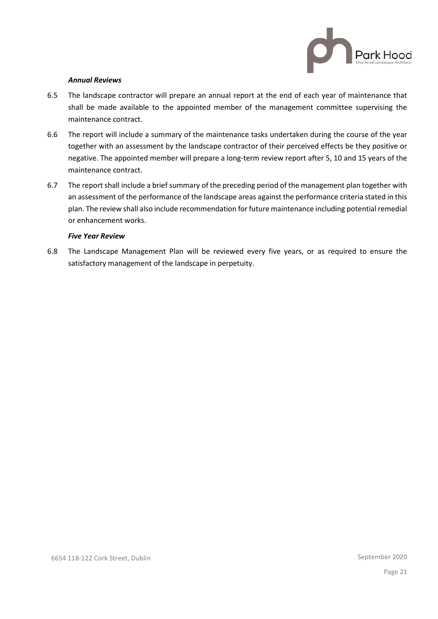

#### *Annual Reviews*

- 6.5 The landscape contractor will prepare an annual report at the end of each year of maintenance that shall be made available to the appointed member of the management committee supervising the maintenance contract.
- 6.6 The report will include a summary of the maintenance tasks undertaken during the course of the year together with an assessment by the landscape contractor of their perceived effects be they positive or negative. The appointed member will prepare a long-term review report after 5, 10 and 15 years of the maintenance contract.
- 6.7 The report shall include a brief summary of the preceding period of the management plan together with an assessment of the performance of the landscape areas against the performance criteria stated in this plan. The review shall also include recommendation for future maintenance including potential remedial or enhancement works.

#### *Five Year Review*

6.8 The Landscape Management Plan will be reviewed every five years, or as required to ensure the satisfactory management of the landscape in perpetuity.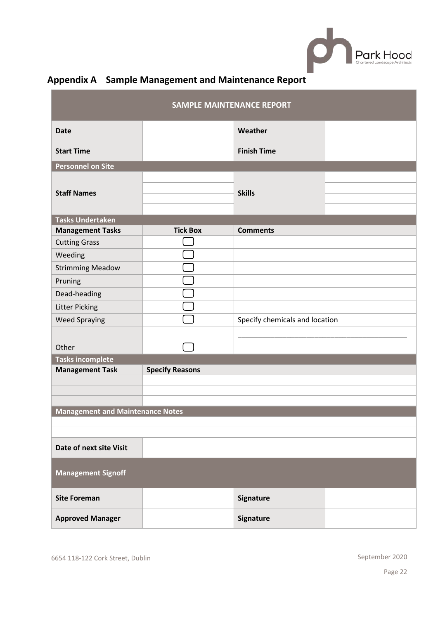

| <b>SAMPLE MAINTENANCE REPORT</b>                 |                 |                                |  |  |  |
|--------------------------------------------------|-----------------|--------------------------------|--|--|--|
| <b>Date</b>                                      |                 | Weather                        |  |  |  |
| <b>Start Time</b>                                |                 | <b>Finish Time</b>             |  |  |  |
| <b>Personnel on Site</b>                         |                 |                                |  |  |  |
| <b>Staff Names</b>                               |                 | <b>Skills</b>                  |  |  |  |
| <b>Tasks Undertaken</b>                          |                 |                                |  |  |  |
| <b>Management Tasks</b>                          | <b>Tick Box</b> | <b>Comments</b>                |  |  |  |
| <b>Cutting Grass</b>                             |                 |                                |  |  |  |
| Weeding                                          |                 |                                |  |  |  |
| <b>Strimming Meadow</b>                          |                 |                                |  |  |  |
| Pruning                                          |                 |                                |  |  |  |
| Dead-heading                                     |                 |                                |  |  |  |
| <b>Litter Picking</b>                            |                 |                                |  |  |  |
| <b>Weed Spraying</b>                             |                 | Specify chemicals and location |  |  |  |
|                                                  |                 |                                |  |  |  |
| Other                                            |                 |                                |  |  |  |
| <b>Tasks incomplete</b>                          |                 |                                |  |  |  |
| <b>Specify Reasons</b><br><b>Management Task</b> |                 |                                |  |  |  |
|                                                  |                 |                                |  |  |  |
|                                                  |                 |                                |  |  |  |
| <b>Management and Maintenance Notes</b>          |                 |                                |  |  |  |
|                                                  |                 |                                |  |  |  |
|                                                  |                 |                                |  |  |  |
| Date of next site Visit                          |                 |                                |  |  |  |
| <b>Management Signoff</b>                        |                 |                                |  |  |  |
| <b>Site Foreman</b>                              |                 | <b>Signature</b>               |  |  |  |
| <b>Approved Manager</b>                          |                 | Signature                      |  |  |  |

# **Appendix A Sample Management and Maintenance Report**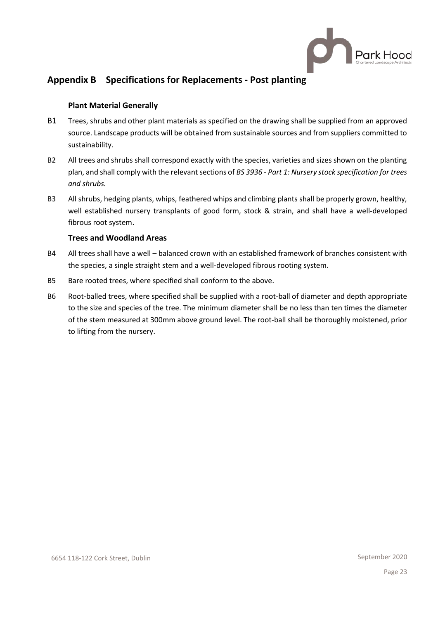

## **Appendix B Specifications for Replacements - Post planting**

## **Plant Material Generally**

- B1 Trees, shrubs and other plant materials as specified on the drawing shall be supplied from an approved source. Landscape products will be obtained from sustainable sources and from suppliers committed to sustainability.
- B2 All trees and shrubs shall correspond exactly with the species, varieties and sizes shown on the planting plan, and shall comply with the relevant sections of *BS 3936 - Part 1: Nursery stock specification for trees and shrubs.*
- B3 All shrubs, hedging plants, whips, feathered whips and climbing plants shall be properly grown, healthy, well established nursery transplants of good form, stock & strain, and shall have a well-developed fibrous root system.

## **Trees and Woodland Areas**

- B4 All trees shall have a well balanced crown with an established framework of branches consistent with the species, a single straight stem and a well-developed fibrous rooting system.
- B5 Bare rooted trees, where specified shall conform to the above.
- B6 Root-balled trees, where specified shall be supplied with a root-ball of diameter and depth appropriate to the size and species of the tree. The minimum diameter shall be no less than ten times the diameter of the stem measured at 300mm above ground level. The root-ball shall be thoroughly moistened, prior to lifting from the nursery.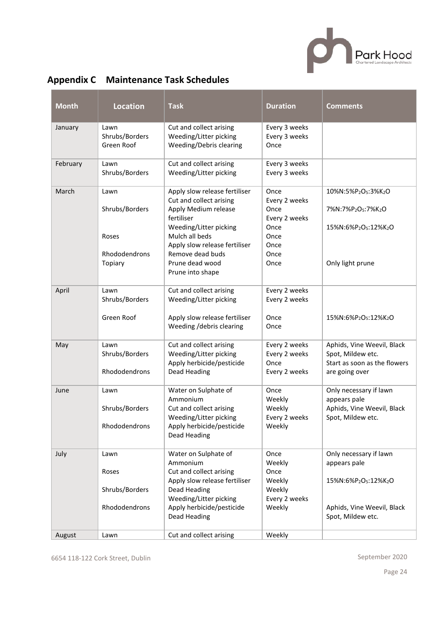

|  |  | <b>Appendix C</b> Maintenance Task Schedules |
|--|--|----------------------------------------------|
|--|--|----------------------------------------------|

| <b>Month</b> | <b>Location</b>                                             | <b>Task</b>                                                                                                                                                                                                                            | <b>Duration</b>                                                                        | <b>Comments</b>                                                                                                 |
|--------------|-------------------------------------------------------------|----------------------------------------------------------------------------------------------------------------------------------------------------------------------------------------------------------------------------------------|----------------------------------------------------------------------------------------|-----------------------------------------------------------------------------------------------------------------|
| January      | Lawn<br>Shrubs/Borders<br>Green Roof                        | Cut and collect arising<br>Weeding/Litter picking<br>Weeding/Debris clearing                                                                                                                                                           | Every 3 weeks<br>Every 3 weeks<br>Once                                                 |                                                                                                                 |
| February     | Lawn<br>Shrubs/Borders                                      | Cut and collect arising<br>Weeding/Litter picking                                                                                                                                                                                      | Every 3 weeks<br>Every 3 weeks                                                         |                                                                                                                 |
| March        | Lawn<br>Shrubs/Borders<br>Roses<br>Rhododendrons<br>Topiary | Apply slow release fertiliser<br>Cut and collect arising<br>Apply Medium release<br>fertiliser<br>Weeding/Litter picking<br>Mulch all beds<br>Apply slow release fertiliser<br>Remove dead buds<br>Prune dead wood<br>Prune into shape | Once<br>Every 2 weeks<br>Once<br>Every 2 weeks<br>Once<br>Once<br>Once<br>Once<br>Once | 10%N:5%P2O5:3%K2O<br>7%N:7%P2O5:7%K2O<br>15%N:6%P2O5:12%K2O<br>Only light prune                                 |
| April        | Lawn<br>Shrubs/Borders<br>Green Roof                        | Cut and collect arising<br>Weeding/Litter picking<br>Apply slow release fertiliser<br>Weeding /debris clearing                                                                                                                         | Every 2 weeks<br>Every 2 weeks<br>Once<br>Once                                         | 15%N:6%P <sub>2</sub> O <sub>5</sub> :12%K <sub>2</sub> O                                                       |
| May          | Lawn<br>Shrubs/Borders<br>Rhododendrons                     | Cut and collect arising<br>Weeding/Litter picking<br>Apply herbicide/pesticide<br>Dead Heading                                                                                                                                         | Every 2 weeks<br>Every 2 weeks<br>Once<br>Every 2 weeks                                | Aphids, Vine Weevil, Black<br>Spot, Mildew etc.<br>Start as soon as the flowers<br>are going over               |
| June         | Lawn<br>Shrubs/Borders<br>Rhododendrons                     | Water on Sulphate of<br>Ammonium<br>Cut and collect arising<br>Weeding/Litter picking<br>Apply herbicide/pesticide<br>Dead Heading                                                                                                     | Once<br>Weekly<br>Weekly<br>Every 2 weeks<br>Weekly                                    | Only necessary if lawn<br>appears pale<br>Aphids, Vine Weevil, Black<br>Spot, Mildew etc.                       |
| July         | Lawn<br>Roses<br>Shrubs/Borders<br>Rhododendrons            | Water on Sulphate of<br>Ammonium<br>Cut and collect arising<br>Apply slow release fertiliser<br>Dead Heading<br>Weeding/Litter picking<br>Apply herbicide/pesticide<br>Dead Heading                                                    | Once<br>Weekly<br>Once<br>Weekly<br>Weekly<br>Every 2 weeks<br>Weekly                  | Only necessary if lawn<br>appears pale<br>15%N:6%P2O5:12%K2O<br>Aphids, Vine Weevil, Black<br>Spot, Mildew etc. |
| August       | Lawn                                                        | Cut and collect arising                                                                                                                                                                                                                | Weekly                                                                                 |                                                                                                                 |